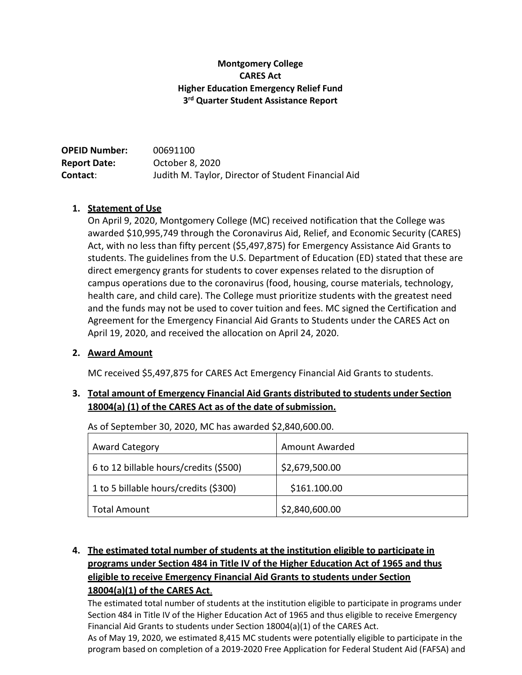#### **Montgomery College CARES Act Higher Education Emergency Relief Fund 3rd Quarter Student Assistance Report**

| <b>OPEID Number:</b> | 00691100                                            |
|----------------------|-----------------------------------------------------|
| <b>Report Date:</b>  | October 8, 2020                                     |
| Contact:             | Judith M. Taylor, Director of Student Financial Aid |

#### **1. Statement of Use**

On April 9, 2020, Montgomery College (MC) received notification that the College was awarded \$10,995,749 through the Coronavirus Aid, Relief, and Economic Security (CARES) Act, with no less than fifty percent (\$5,497,875) for Emergency Assistance Aid Grants to students. The guidelines from the U.S. Department of Education (ED) stated that these are direct emergency grants for students to cover expenses related to the disruption of campus operations due to the coronavirus (food, housing, course materials, technology, health care, and child care). The College must prioritize students with the greatest need and the funds may not be used to cover tuition and fees. MC signed the Certification and Agreement for the Emergency Financial Aid Grants to Students under the CARES Act on April 19, 2020, and received the allocation on April 24, 2020.

#### **2. Award Amount**

MC received \$5,497,875 for CARES Act Emergency Financial Aid Grants to students.

# **3. Total amount of Emergency Financial Aid Grants distributed to students under Section 18004(a) (1) of the CARES Act as of the date ofsubmission.**

As of September 30, 2020, MC has awarded \$2,840,600.00.

| <b>Award Category</b>                  | Amount Awarded |
|----------------------------------------|----------------|
| 6 to 12 billable hours/credits (\$500) | \$2,679,500.00 |
| 1 to 5 billable hours/credits (\$300)  | \$161.100.00   |
| <b>Total Amount</b>                    | \$2,840,600.00 |

# **4. The estimated total number of students at the institution eligible to participate in programs under Section 484 in Title IV of the Higher Education Act of 1965 and thus eligible to receive Emergency Financial Aid Grants to students under Section 18004(a)(1) of the CARES Act**.

The estimated total number of students at the institution eligible to participate in programs under Section 484 in Title IV of the Higher Education Act of 1965 and thus eligible to receive Emergency Financial Aid Grants to students under Section 18004(a)(1) of the CARES Act.

As of May 19, 2020, we estimated 8,415 MC students were potentially eligible to participate in the program based on completion of a 2019-2020 Free Application for Federal Student Aid (FAFSA) and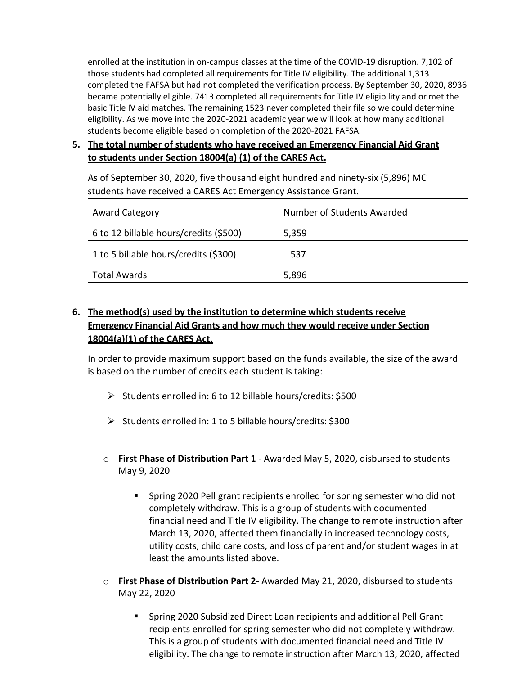enrolled at the institution in on-campus classes at the time of the COVID-19 disruption. 7,102 of those students had completed all requirements for Title IV eligibility. The additional 1,313 completed the FAFSA but had not completed the verification process. By September 30, 2020, 8936 became potentially eligible. 7413 completed all requirements for Title IV eligibility and or met the basic Title IV aid matches. The remaining 1523 never completed their file so we could determine eligibility. As we move into the 2020-2021 academic year we will look at how many additional students become eligible based on completion of the 2020-2021 FAFSA.

# **5. The total number of students who have received an Emergency Financial Aid Grant to students under Section 18004(a) (1) of the CARES Act.**

As of September 30, 2020, five thousand eight hundred and ninety-six (5,896) MC students have received a CARES Act Emergency Assistance Grant.

| <b>Award Category</b>                  | Number of Students Awarded |
|----------------------------------------|----------------------------|
| 6 to 12 billable hours/credits (\$500) | 5,359                      |
| 1 to 5 billable hours/credits (\$300)  | 537                        |
| Total Awards                           | 5,896                      |

# **6. The method(s) used by the institution to determine which students receive Emergency Financial Aid Grants and how much they would receive under Section 18004(a)(1) of the CARES Act.**

In order to provide maximum support based on the funds available, the size of the award is based on the number of credits each student is taking:

- $\triangleright$  Students enrolled in: 6 to 12 billable hours/credits: \$500
- $\triangleright$  Students enrolled in: 1 to 5 billable hours/credits: \$300
- o **First Phase of Distribution Part 1**  Awarded May 5, 2020, disbursed to students May 9, 2020
	- Spring 2020 Pell grant recipients enrolled for spring semester who did not completely withdraw. This is a group of students with documented financial need and Title IV eligibility. The change to remote instruction after March 13, 2020, affected them financially in increased technology costs, utility costs, child care costs, and loss of parent and/or student wages in at least the amounts listed above.
- o **First Phase of Distribution Part 2** Awarded May 21, 2020, disbursed to students May 22, 2020
	- **Spring 2020 Subsidized Direct Loan recipients and additional Pell Grant** recipients enrolled for spring semester who did not completely withdraw. This is a group of students with documented financial need and Title IV eligibility. The change to remote instruction after March 13, 2020, affected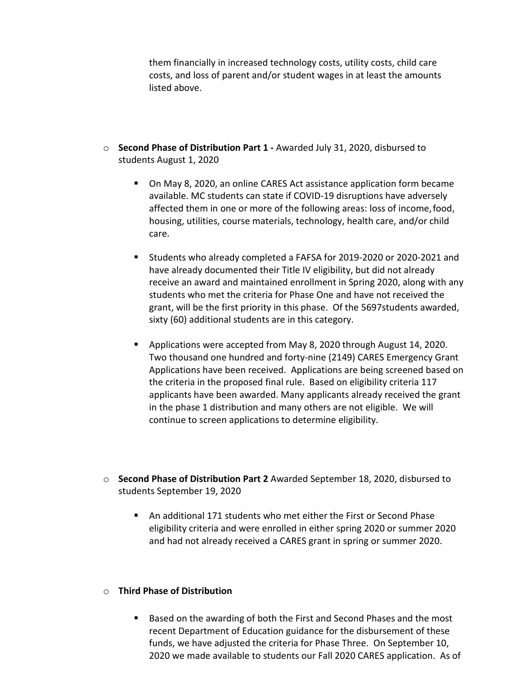them financially in increased technology costs, utility costs, child care costs, and loss of parent and/or student wages in at least the amounts listed above.

- o **Second Phase of Distribution Part 1 -** Awarded July 31, 2020, disbursed to students August 1, 2020
	- On May 8, 2020, an online CARES Act assistance application form became available. MC students can state if COVID-19 disruptions have adversely affected them in one or more of the following areas: loss of income,food, housing, utilities, course materials, technology, health care, and/or child care.
	- Students who already completed a FAFSA for 2019-2020 or 2020-2021 and have already documented their Title IV eligibility, but did not already receive an award and maintained enrollment in Spring 2020, along with any students who met the criteria for Phase One and have not received the grant, will be the first priority in this phase. Of the 5697students awarded, sixty (60) additional students are in this category.
	- **Applications were accepted from May 8, 2020 through August 14, 2020.** Two thousand one hundred and forty-nine (2149) CARES Emergency Grant Applications have been received. Applications are being screened based on the criteria in the proposed final rule. Based on eligibility criteria 117 applicants have been awarded. Many applicants already received the grant in the phase 1 distribution and many others are not eligible. We will continue to screen applications to determine eligibility.
- o **Second Phase of Distribution Part 2** Awarded September 18, 2020, disbursed to students September 19, 2020
	- An additional 171 students who met either the First or Second Phase eligibility criteria and were enrolled in either spring 2020 or summer 2020 and had not already received a CARES grant in spring or summer 2020.

#### o **Third Phase of Distribution**

**Based on the awarding of both the First and Second Phases and the most** recent Department of Education guidance for the disbursement of these funds, we have adjusted the criteria for Phase Three. On September 10, 2020 we made available to students our Fall 2020 CARES application. As of